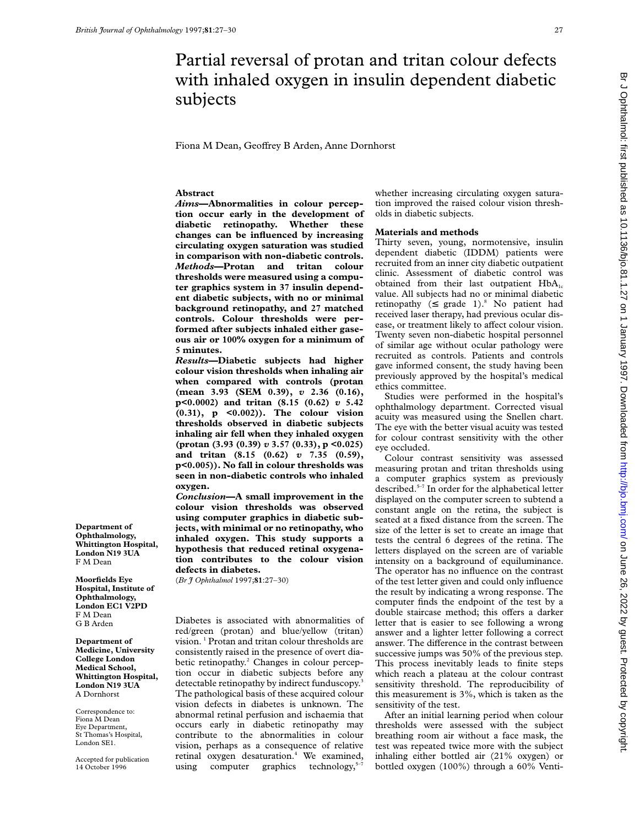# Partial reversal of protan and tritan colour defects with inhaled oxygen in insulin dependent diabetic subjects

Fiona M Dean, Geoffrey B Arden, Anne Dornhorst

# **Abstract**

*Aims***—Abnormalities in colour perception occur early in the development of diabetic retinopathy. Whether these changes can be influenced by increasing circulating oxygen saturation was studied in comparison with non-diabetic controls.** *Methods***—Protan and tritan colour thresholds were measured using a computer graphics system in 37 insulin dependent diabetic subjects, with no or minimal background retinopathy, and 27 matched controls. Colour thresholds were performed after subjects inhaled either gaseous air or 100% oxygen for a minimum of 5 minutes.**

*Results***—Diabetic subjects had higher colour vision thresholds when inhaling air when compared with controls (protan (mean 3.93 (SEM 0.39),** *v* **2.36 (0.16), p<0.0002) and tritan (8.15 (0.62)** *v* **5.42 (0.31), p <0.002)). The colour vision thresholds observed in diabetic subjects inhaling air fell when they inhaled oxygen (protan (3.93 (0.39)** *v* **3.57 (0.33), p <0.025) and tritan (8.15 (0.62)** *v* **7.35 (0.59), p<0.005)). No fall in colour thresholds was seen in non-diabetic controls who inhaled oxygen.**

*Conclusion***—A small improvement in the colour vision thresholds was observed using computer graphics in diabetic subjects, with minimal or no retinopathy, who inhaled oxygen. This study supports a hypothesis that reduced retinal oxygenation contributes to the colour vision defects in diabetes.**

(*Br J Ophthalmol* 1997;**81**:27–30)

Diabetes is associated with abnormalities of red/green (protan) and blue/yellow (tritan) vision. <sup>1</sup> Protan and tritan colour thresholds are consistently raised in the presence of overt diabetic retinopathy.<sup>2</sup> Changes in colour perception occur in diabetic subjects before any detectable retinopathy by indirect funduscopy.<sup>3</sup> The pathological basis of these acquired colour vision defects in diabetes is unknown. The abnormal retinal perfusion and ischaemia that occurs early in diabetic retinopathy may contribute to the abnormalities in colour vision, perhaps as a consequence of relative retinal oxygen desaturation.<sup>4</sup> We examined, using computer graphics technology, $5-7$ 

whether increasing circulating oxygen saturation improved the raised colour vision thresholds in diabetic subjects.

## **Materials and methods**

Thirty seven, young, normotensive, insulin dependent diabetic (IDDM) patients were recruited from an inner city diabetic outpatient clinic. Assessment of diabetic control was obtained from their last outpatient  $HbA_{1c}$ value. All subjects had no or minimal diabetic retinopathy ( $\leq$  grade 1).<sup>8</sup> No patient had received laser therapy, had previous ocular disease, or treatment likely to affect colour vision. Twenty seven non-diabetic hospital personnel of similar age without ocular pathology were recruited as controls. Patients and controls gave informed consent, the study having been previously approved by the hospital's medical ethics committee.

Studies were performed in the hospital's ophthalmology department. Corrected visual acuity was measured using the Snellen chart. The eye with the better visual acuity was tested for colour contrast sensitivity with the other eye occluded.

Colour contrast sensitivity was assessed measuring protan and tritan thresholds using a computer graphics system as previously described.5–7 In order for the alphabetical letter displayed on the computer screen to subtend a constant angle on the retina, the subject is seated at a fixed distance from the screen. The size of the letter is set to create an image that tests the central 6 degrees of the retina. The letters displayed on the screen are of variable intensity on a background of equiluminance. The operator has no influence on the contrast of the test letter given and could only influence the result by indicating a wrong response. The computer finds the endpoint of the test by a double staircase method; this offers a darker letter that is easier to see following a wrong answer and a lighter letter following a correct answer. The difference in the contrast between successive jumps was 50% of the previous step. This process inevitably leads to finite steps which reach a plateau at the colour contrast sensitivity threshold. The reproducibility of this measurement is 3%, which is taken as the sensitivity of the test.

After an initial learning period when colour thresholds were assessed with the subject breathing room air without a face mask, the test was repeated twice more with the subject inhaling either bottled air (21% oxygen) or bottled oxygen (100%) through a 60% Venti-

**Department of Ophthalmology, Whittington Hospital, London N19 3UA** F M Dean

**Moorfields Eye Hospital, Institute of Ophthalmology, London EC1 V2PD** F M Dean G B Arden

**Department of Medicine, University College London Medical School, Whittington Hospital, London N19 3UA** A Dornhorst

Correspondence to: Fiona M Dean Eye Department, St Thomas's Hospital, London SE1.

Accepted for publication 14 October 1996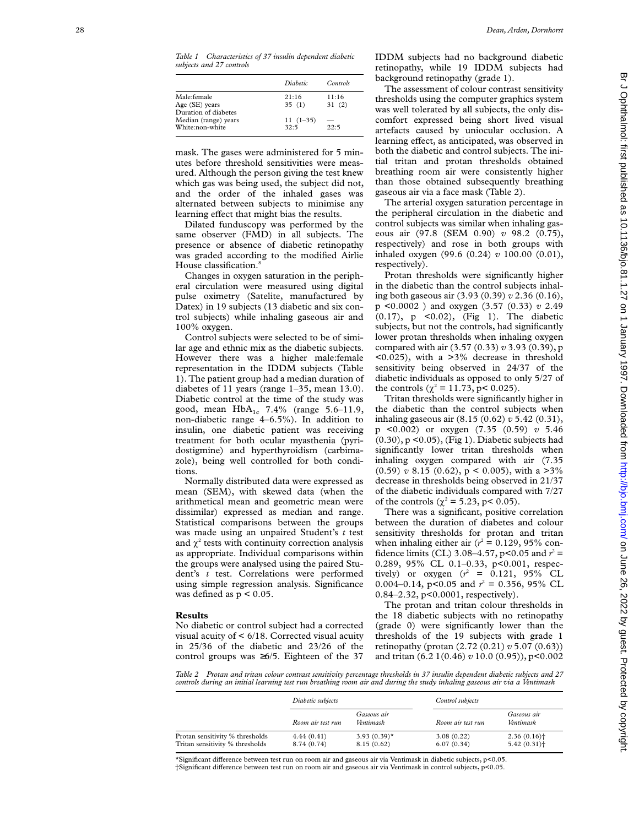|                                                                 | Diabetic           | Controls       |
|-----------------------------------------------------------------|--------------------|----------------|
| Male:female<br>Age $(SE)$ years                                 | 21:16<br>35(1)     | 11:16<br>31(2) |
| Duration of diabetes<br>Median (range) years<br>White:non-white | $11(1-35)$<br>32.5 | 22.5           |

mask. The gases were administered for 5 minutes before threshold sensitivities were measured. Although the person giving the test knew which gas was being used, the subject did not, and the order of the inhaled gases was alternated between subjects to minimise any learning effect that might bias the results.

Dilated funduscopy was performed by the same observer (FMD) in all subjects. The presence or absence of diabetic retinopathy was graded according to the modified Airlie House classification. 8

Changes in oxygen saturation in the peripheral circulation were measured using digital pulse oximetry (Satelite, manufactured by Datex) in 19 subjects (13 diabetic and six control subjects) while inhaling gaseous air and 100% oxygen.

Control subjects were selected to be of similar age and ethnic mix as the diabetic subjects. However there was a higher male:female representation in the IDDM subjects (Table 1). The patient group had a median duration of diabetes of 11 years (range 1–35, mean 13.0). Diabetic control at the time of the study was good, mean  $HbA_{1c}$  7.4% (range 5.6–11.9, non-diabetic range 4–6.5%). In addition to insulin, one diabetic patient was receiving treatment for both ocular myasthenia (pyridostigmine) and hyperthyroidism (carbimazole), being well controlled for both conditions.

Normally distributed data were expressed as mean (SEM), with skewed data (when the arithmetical mean and geometric mean were dissimilar) expressed as median and range. Statistical comparisons between the groups was made using an unpaired Student's *t* test and  $\chi^2$  tests with continuity correction analysis as appropriate. Individual comparisons within the groups were analysed using the paired Student's *t* test. Correlations were performed using simple regression analysis. Significance was defined as  $p < 0.05$ .

### **Results**

No diabetic or control subject had a corrected visual acuity of < 6/18. Corrected visual acuity in 25/36 of the diabetic and 23/26 of the control groups was ≥6/5. Eighteen of the 37 IDDM subjects had no background diabetic retinopathy, while 19 IDDM subjects had background retinopathy (grade 1).

The assessment of colour contrast sensitivity thresholds using the computer graphics system was well tolerated by all subjects, the only discomfort expressed being short lived visual artefacts caused by uniocular occlusion. A learning effect, as anticipated, was observed in both the diabetic and control subjects. The initial tritan and protan thresholds obtained breathing room air were consistently higher than those obtained subsequently breathing gaseous air via a face mask (Table 2).

The arterial oxygen saturation percentage in the peripheral circulation in the diabetic and control subjects was similar when inhaling gaseous air (97.8 (SEM 0.90) *v* 98.2 (0.75), respectively) and rose in both groups with inhaled oxygen (99.6 (0.24) *v* 100.00 (0.01), respectively).

Protan thresholds were significantly higher in the diabetic than the control subjects inhaling both gaseous air (3.93 (0.39) *v* 2.36 (0.16), p <0.0002 ) and oxygen (3.57 (0.33) *v* 2.49 (0.17), p <0.02), (Fig 1). The diabetic subjects, but not the controls, had significantly lower protan thresholds when inhaling oxygen compared with air (3.57 (0.33) *v* 3.93 (0.39), p <0.025), with a >3% decrease in threshold sensitivity being observed in 24/37 of the diabetic individuals as opposed to only 5/27 of the controls ( $\chi^2$  = 11.73, p< 0.025).

Tritan thresholds were significantly higher in the diabetic than the control subjects when inhaling gaseous air (8.15 (0.62) *v* 5.42 (0.31), p <0.002) or oxygen (7.35 (0.59) *v* 5.46 (0.30), p <0.05), (Fig 1). Diabetic subjects had significantly lower tritan thresholds when inhaling oxygen compared with air (7.35  $(0.59)$  v 8.15  $(0.62)$ , p < 0.005), with a >3% decrease in thresholds being observed in 21/37 of the diabetic individuals compared with 7/27 of the controls ( $\chi^2 = 5.23$ , p< 0.05).

There was a significant, positive correlation between the duration of diabetes and colour sensitivity thresholds for protan and tritan when inhaling either air  $(r^2 = 0.129, 95\%$  confidence limits (CL) 3.08–4.57, p<0.05 and  $r^2$  = 0.289, 95% CL 0.1–0.33, p<0.001, respectively) or oxygen  $(r^2 = 0.121, 95\% \text{ CL})$ 0.004–0.14,  $p<0.05$  and  $r^2 = 0.356$ , 95% CL 0.84–2.32, p<0.0001, respectively).

The protan and tritan colour thresholds in the 18 diabetic subjects with no retinopathy (grade 0) were significantly lower than the thresholds of the 19 subjects with grade 1 retinopathy (protan (2.72 (0.21) *v* 5.07 (0.63)) and tritan (6.2 1(0.46) *v* 10.0 (0.95)), p<0.002

*Table 2 Protan and tritan colour contrast sensitivity percentage thresholds in 37 insulin dependent diabetic subjects and 27 controls during an initial learning test run breathing room air and during the study inhaling gaseous air via a Ventimask*

|                                                                    | Diabetic subjects         |                               | Control subjects         |                                         |
|--------------------------------------------------------------------|---------------------------|-------------------------------|--------------------------|-----------------------------------------|
|                                                                    | Room air test run         | Gaseous air<br>Ventimask      | Room air test run        | Gaseous air<br>Ventimask                |
| Protan sensitivity % thresholds<br>Tritan sensitivity % thresholds | 4.44(0.41)<br>8.74 (0.74) | 3.93 $(0.39)$ *<br>8.15(0.62) | 3.08(0.22)<br>6.07(0.34) | $2.36(0.16)$ <sup>+</sup><br>5.42(0.31) |

\*Significant di Verence between test run on room air and gaseous air via Ventimask in diabetic subjects, p<0.05. †Significant di Verence between test run on room air and gaseous air via Ventimask in control subjects, p<0.05.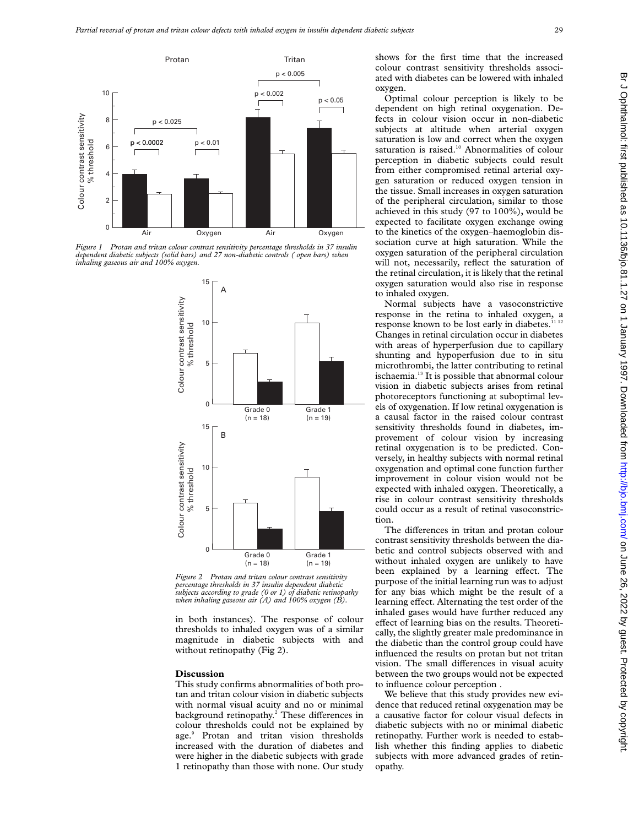

*Figure 1 Protan and tritan colour contrast sensitivity percentage thresholds in 37 insulin dependent diabetic subjects (solid bars) and 27 non-diabetic controls ( open bars) when inhaling gaseous air and 100% oxygen.*



*Figure 2 Protan and tritan colour contrast sensitivity percentage thresholds in 37 insulin dependent diabetic subjects according to grade (0 or 1) of diabetic retinopathy when inhaling gaseous air (A) and 100% oxygen (B).*

in both instances). The response of colour thresholds to inhaled oxygen was of a similar magnitude in diabetic subjects with and without retinopathy (Fig 2).

### **Discussion**

This study confirms abnormalities of both protan and tritan colour vision in diabetic subjects with normal visual acuity and no or minimal background retinopathy.<sup>2</sup> These differences in colour thresholds could not be explained by age.<sup>9</sup> Protan and tritan vision thresholds increased with the duration of diabetes and were higher in the diabetic subjects with grade 1 retinopathy than those with none. Our study shows for the first time that the increased colour contrast sensitivity thresholds associated with diabetes can be lowered with inhaled oxygen.

Optimal colour perception is likely to be dependent on high retinal oxygenation. Defects in colour vision occur in non-diabetic subjects at altitude when arterial oxygen saturation is low and correct when the oxygen saturation is raised.<sup>10</sup> Abnormalities of colour perception in diabetic subjects could result from either compromised retinal arterial oxygen saturation or reduced oxygen tension in the tissue. Small increases in oxygen saturation of the peripheral circulation, similar to those achieved in this study (97 to 100%), would be expected to facilitate oxygen exchange owing to the kinetics of the oxygen–haemoglobin dissociation curve at high saturation. While the oxygen saturation of the peripheral circulation will not, necessarily, reflect the saturation of the retinal circulation, it is likely that the retinal oxygen saturation would also rise in response to inhaled oxygen.

Normal subjects have a vasoconstrictive response in the retina to inhaled oxygen, a response known to be lost early in diabetes.<sup>11 12</sup> Changes in retinal circulation occur in diabetes with areas of hyperperfusion due to capillary shunting and hypoperfusion due to in situ microthrombi, the latter contributing to retinal ischaemia.13 It is possible that abnormal colour vision in diabetic subjects arises from retinal photoreceptors functioning at suboptimal levels of oxygenation. If low retinal oxygenation is a causal factor in the raised colour contrast sensitivity thresholds found in diabetes, improvement of colour vision by increasing retinal oxygenation is to be predicted. Conversely, in healthy subjects with normal retinal oxygenation and optimal cone function further improvement in colour vision would not be expected with inhaled oxygen. Theoretically, a rise in colour contrast sensitivity thresholds could occur as a result of retinal vasoconstriction.

The differences in tritan and protan colour contrast sensitivity thresholds between the diabetic and control subjects observed with and without inhaled oxygen are unlikely to have been explained by a learning effect. The purpose of the initial learning run was to adjust for any bias which might be the result of a learning effect. Alternating the test order of the inhaled gases would have further reduced any effect of learning bias on the results. Theoretically, the slightly greater male predominance in the diabetic than the control group could have influenced the results on protan but not tritan vision. The small differences in visual acuity between the two groups would not be expected to influence colour perception .

We believe that this study provides new evidence that reduced retinal oxygenation may be a causative factor for colour visual defects in diabetic subjects with no or minimal diabetic retinopathy. Further work is needed to establish whether this finding applies to diabetic subjects with more advanced grades of retinopathy.